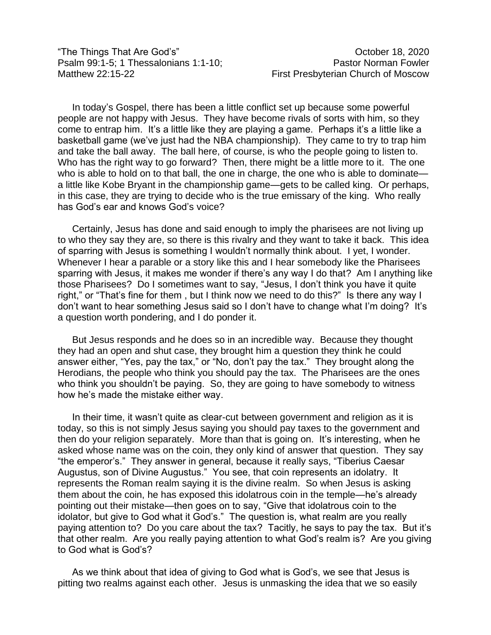"The Things That Are God's" October 18, 2020 Psalm 99:1-5; 1 Thessalonians 1:1-10; Pastor Norman Fowler Matthew 22:15-22 **First Presbyterian Church of Moscow** 

In today's Gospel, there has been a little conflict set up because some powerful people are not happy with Jesus. They have become rivals of sorts with him, so they come to entrap him. It's a little like they are playing a game. Perhaps it's a little like a basketball game (we've just had the NBA championship). They came to try to trap him and take the ball away. The ball here, of course, is who the people going to listen to. Who has the right way to go forward? Then, there might be a little more to it. The one who is able to hold on to that ball, the one in charge, the one who is able to dominate a little like Kobe Bryant in the championship game—gets to be called king. Or perhaps, in this case, they are trying to decide who is the true emissary of the king. Who really has God's ear and knows God's voice?

Certainly, Jesus has done and said enough to imply the pharisees are not living up to who they say they are, so there is this rivalry and they want to take it back. This idea of sparring with Jesus is something I wouldn't normally think about. I yet, I wonder. Whenever I hear a parable or a story like this and I hear somebody like the Pharisees sparring with Jesus, it makes me wonder if there's any way I do that? Am I anything like those Pharisees? Do I sometimes want to say, "Jesus, I don't think you have it quite right," or "That's fine for them , but I think now we need to do this?" Is there any way I don't want to hear something Jesus said so I don't have to change what I'm doing? It's a question worth pondering, and I do ponder it.

But Jesus responds and he does so in an incredible way. Because they thought they had an open and shut case, they brought him a question they think he could answer either, "Yes, pay the tax," or "No, don't pay the tax." They brought along the Herodians, the people who think you should pay the tax. The Pharisees are the ones who think you shouldn't be paying. So, they are going to have somebody to witness how he's made the mistake either way.

In their time, it wasn't quite as clear-cut between government and religion as it is today, so this is not simply Jesus saying you should pay taxes to the government and then do your religion separately. More than that is going on. It's interesting, when he asked whose name was on the coin, they only kind of answer that question. They say "the emperor's." They answer in general, because it really says, "Tiberius Caesar Augustus, son of Divine Augustus." You see, that coin represents an idolatry. It represents the Roman realm saying it is the divine realm. So when Jesus is asking them about the coin, he has exposed this idolatrous coin in the temple—he's already pointing out their mistake—then goes on to say, "Give that idolatrous coin to the idolator, but give to God what it God's." The question is, what realm are you really paying attention to? Do you care about the tax? Tacitly, he says to pay the tax. But it's that other realm. Are you really paying attention to what God's realm is? Are you giving to God what is God's?

As we think about that idea of giving to God what is God's, we see that Jesus is pitting two realms against each other. Jesus is unmasking the idea that we so easily